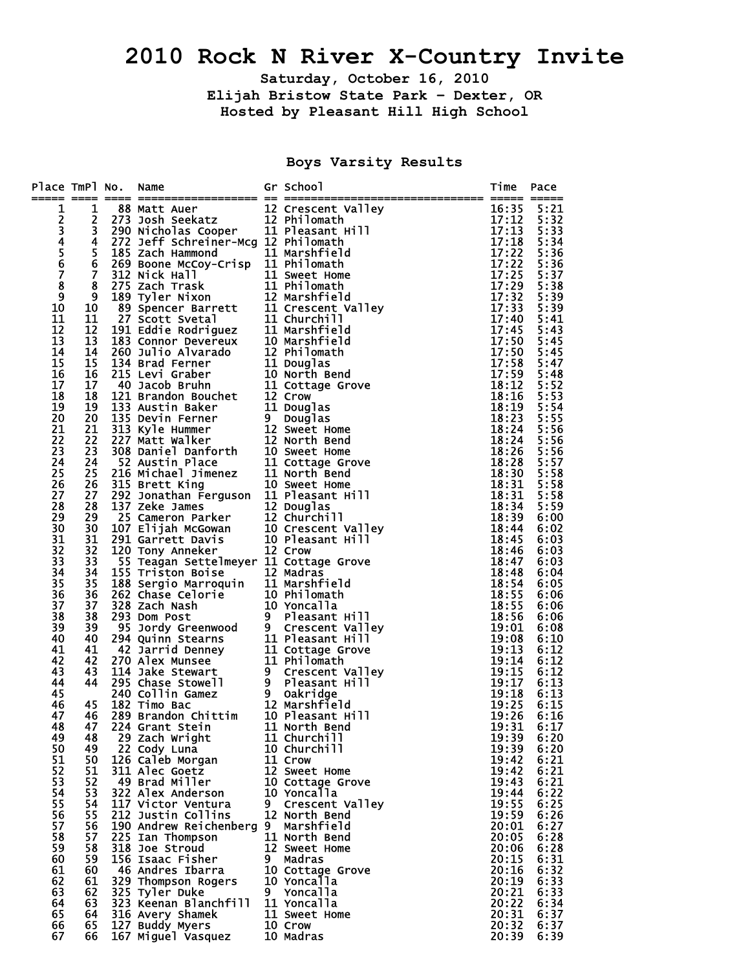## **2010 Rock N River X-Country Invite**

**Saturday, October 16, 2010** 

**Elijah Bristow State Park – Dexter, OR Hosted by Pleasant Hill High School** 

**Boys Varsity Results** 

| Place TmPl No. |                                  | Name                                                                                                                                                                                                                                             |   | Gr School                       | Time           | Pace         |
|----------------|----------------------------------|--------------------------------------------------------------------------------------------------------------------------------------------------------------------------------------------------------------------------------------------------|---|---------------------------------|----------------|--------------|
|                |                                  |                                                                                                                                                                                                                                                  |   |                                 |                |              |
| 12345678       | $\mathbf{1}$                     | <b>EXECUTE:</b><br>88 Matt Auer 12 Crescent Valley<br>273 Josh Seekatz 12 Philomath<br>290 Nicholas Cooper 11 Pleasant Hill<br>272 Jeff Schreiner-Mcg 12 Marchfield                                                                              |   |                                 | 16:35          | 5:21         |
|                | $\overline{2}$<br>$\overline{3}$ |                                                                                                                                                                                                                                                  |   |                                 | 17:12<br>17:13 | 5:32<br>5:33 |
|                | 4                                |                                                                                                                                                                                                                                                  |   |                                 | 17:18          | 5:34         |
|                | 5                                | 290 Nicholas Cooper<br>272 Jeff Schreiner-Mcg 12 Philomath<br>185 Zach Hammond 11 Marshfield<br>269 Boone McCoy-Crisp 11 Philomath<br>312 Nick Hall 11 Sweet Home<br>275 Zach Trask 11 Philomath<br>39 Spencer Barrett 11 Crescent<br>27 Sco     |   |                                 | 17:22          | 5:36         |
|                | 6                                |                                                                                                                                                                                                                                                  |   |                                 | 17:22          | 5:36         |
|                | $\overline{7}$                   |                                                                                                                                                                                                                                                  |   |                                 | 17:25          | 5:37         |
|                | 8                                |                                                                                                                                                                                                                                                  |   |                                 | 17:29          | 5:38         |
| $\overline{9}$ | 9                                |                                                                                                                                                                                                                                                  |   |                                 | 17:32          | 5:39         |
| 10             | 10                               |                                                                                                                                                                                                                                                  |   |                                 | 17:33          | 5:39         |
| 11             | 11                               |                                                                                                                                                                                                                                                  |   |                                 | 17:40          | 5:41         |
| 12             | 12                               |                                                                                                                                                                                                                                                  |   |                                 | 17:45          | 5:43         |
| 13             | 13                               |                                                                                                                                                                                                                                                  |   |                                 | 17:50          | 5:45         |
| 14             | 14                               |                                                                                                                                                                                                                                                  |   |                                 | 17:50          | 5:45         |
| 15             | 15                               |                                                                                                                                                                                                                                                  |   |                                 | 17:58          | 5:47         |
| 16<br>17       | 16<br>17                         |                                                                                                                                                                                                                                                  |   |                                 | 17:59          | 5:48         |
| 18             | 18                               |                                                                                                                                                                                                                                                  |   |                                 | 18:12<br>18:16 | 5:52<br>5:53 |
| 19             | 19                               |                                                                                                                                                                                                                                                  |   |                                 | 18:19          | 5:54         |
| 20             | 20                               |                                                                                                                                                                                                                                                  |   |                                 | 18:23          | 5:55         |
| 21             | 21                               |                                                                                                                                                                                                                                                  |   |                                 | 18:24          | 5:56         |
| 22             | 22                               |                                                                                                                                                                                                                                                  |   |                                 | 18:24          | 5:56         |
| 23             | 23                               |                                                                                                                                                                                                                                                  |   |                                 | 18:26          | 5:56         |
| 24             | 24                               |                                                                                                                                                                                                                                                  |   |                                 | 18:28          | 5:57         |
| 25             | 25                               |                                                                                                                                                                                                                                                  |   |                                 | 18:30          | 5:58         |
| 26             | 26                               |                                                                                                                                                                                                                                                  |   |                                 | 18:31          | 5:58         |
| 27             | 27                               |                                                                                                                                                                                                                                                  |   |                                 | 18:31          | 5:58         |
| 28             | 28                               | 137 Zeke James<br>25 Cameron Parker<br>25 Cameron Parker<br>291 Garrett Davis<br>291 Garrett Davis<br>291 Garrett Davis<br>291 Garrett Davis<br>291 Garrett Davis<br>292 Crow<br>22 Crow                                                         |   |                                 | 18:34          | 5:59         |
| 29             | 29                               |                                                                                                                                                                                                                                                  |   |                                 | 18:39<br>18:44 | 6:00<br>6:02 |
| 30<br>31       | 30<br>31                         |                                                                                                                                                                                                                                                  |   |                                 | 18:45          | 6:03         |
| 32             | 32                               |                                                                                                                                                                                                                                                  |   |                                 | 18:46          | 6:03         |
| 33             | 33                               | 55 Teagan Settelmeyer 11 Cottage Grove                                                                                                                                                                                                           |   |                                 | 18:47          | 6:03         |
| 34             | 34                               | 55 Teagan Settelmeyer 11 Cottage Grove<br>155 Triston Boise 12 Madras<br>188 Sergio Marroquin 11 Marshfield<br>262 Chase Celorie 10 Philomath<br>328 Zach Nash 10 Yoncalla<br>293 Dom Post 9 Pleasant Hill<br>95 Jordy Greenwood 9 Crescent Vall |   |                                 | 18:48          | 6:04         |
| 35             | 35                               |                                                                                                                                                                                                                                                  |   |                                 | 18:54          | 6:05         |
| 36             | 36                               |                                                                                                                                                                                                                                                  |   |                                 | 18:55          | 6:06         |
| 37             | 37                               |                                                                                                                                                                                                                                                  |   |                                 | 18:55          | 6:06         |
| 38             | 38                               |                                                                                                                                                                                                                                                  |   |                                 | 18:56          | 6:06         |
| 39             | 39                               |                                                                                                                                                                                                                                                  |   |                                 | 19:01          | 6:08         |
| 40             | 40                               |                                                                                                                                                                                                                                                  |   |                                 | 19:08          | 6:10         |
| 41<br>42       | 41<br>42                         |                                                                                                                                                                                                                                                  |   |                                 | 19:13<br>19:14 | 6:12<br>6:12 |
| 43             | 43                               |                                                                                                                                                                                                                                                  |   |                                 | 19:15          | 6:12         |
| 44             | 44                               |                                                                                                                                                                                                                                                  |   |                                 | 19:17          | 6:13         |
| 45             |                                  |                                                                                                                                                                                                                                                  |   |                                 | 19:18          | 6:13         |
| 46             | 45                               |                                                                                                                                                                                                                                                  |   |                                 | 19:25          | 6:15         |
| 47             | 46                               |                                                                                                                                                                                                                                                  |   |                                 | 19:26          | 6:16         |
| 48             | 47                               |                                                                                                                                                                                                                                                  |   |                                 | 19:31          | 6:17         |
| 49             | 48                               | 29 Zach Wright                                                                                                                                                                                                                                   |   | 11 Churchill                    | 19:39          | 6:20         |
| 50             | 49                               | 22 Cody Luna                                                                                                                                                                                                                                     |   | 10 Churchill                    | 19:39          | 6:20         |
| 51             | 50                               | 126 Caleb Morgan                                                                                                                                                                                                                                 |   | 11 Crow                         | 19:42          | 6:21         |
| 52             | 51                               | 311 Alec Goetz                                                                                                                                                                                                                                   |   | 12 Sweet Home                   | 19:42          | 6:21         |
| 53<br>54       | 52<br>53                         | 49 Brad Miller<br>322 Alex Anderson                                                                                                                                                                                                              |   | 10 Cottage Grove<br>10 Yoncalla | 19:43<br>19:44 | 6:21<br>6:22 |
| 55             | 54                               | 117 Victor Ventura                                                                                                                                                                                                                               |   | 9 Crescent Valley               | 19:55          | 6:25         |
| 56             | 55                               | 212 Justin Collins                                                                                                                                                                                                                               |   | 12 North Bend                   | 19:59          | 6:26         |
| 57             | 56                               | 190 Andrew Reichenberg 9 Marshfield                                                                                                                                                                                                              |   |                                 | 20:01          | 6:27         |
| 58             | 57                               | 225 Ian Thompson                                                                                                                                                                                                                                 |   | 11 North Bend                   | 20:05          | 6:28         |
| 59             | 58                               | 318 Joe Stroud                                                                                                                                                                                                                                   |   | 12 Sweet Home                   | 20:06          | 6:28         |
| 60             | 59                               | 156 Isaac Fisher                                                                                                                                                                                                                                 | 9 | Madras                          | 20:15          | 6:31         |
| 61             | 60                               | 46 Andres Ibarra                                                                                                                                                                                                                                 |   | 10 Cottage Grove                | 20:16          | 6:32         |
| 62             | 61                               | 329 Thompson Rogers                                                                                                                                                                                                                              |   | 10 Yoncalla                     | 20:19          | 6:33         |
| 63             | 62                               | 325 Tyler Duke                                                                                                                                                                                                                                   |   | 9 Yoncalla                      | 20:21          | 6:33         |
| 64             | 63                               | 323 Keenan Blanchfill                                                                                                                                                                                                                            |   | 11 Yoncalla                     | 20:22          | 6:34         |
| 65             | 64                               | 316 Avery Shamek                                                                                                                                                                                                                                 |   | 11 Sweet Home                   | 20:31          | 6:37         |
| 66<br>67       | 65<br>66                         | 127 Buddy Myers<br>167 Miguel Vasquez                                                                                                                                                                                                            |   | 10 Crow<br>10 Madras            | 20:32<br>20:39 | 6:37<br>6:39 |
|                |                                  |                                                                                                                                                                                                                                                  |   |                                 |                |              |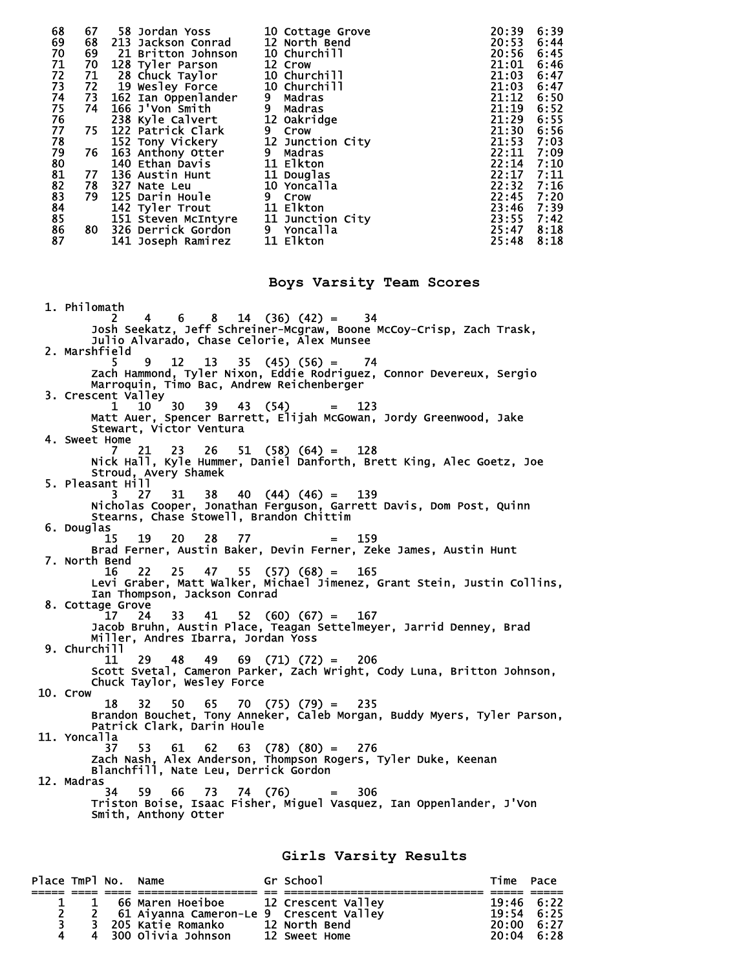| 68             | 67 | 58 Jordan Yoss            | 10 Cottage Grove | 6:39<br>20:39 |
|----------------|----|---------------------------|------------------|---------------|
| 69             | 68 | 213 Jackson Conrad        | 12 North Bend    | 6:44<br>20:53 |
| 70             | 69 | 21 Britton Johnson        | 10 Churchill     | 6:45<br>20:56 |
| 71             | 70 | 128 Tyler Parson          | 12 Crow          | 21:01<br>6:46 |
| 72             | 71 | 28 Chuck Taylor           | 10 Churchill     | 21:03<br>6:47 |
| 73             | 72 | 19 Wesley Force           | 10 Churchill     | 21:03<br>6:47 |
| 74             |    | 73 162 Ian Oppenlander    | Madras<br>9.     | 6:50<br>21:12 |
| 75             | 74 | 166 J'Von Smith           | Madras<br>9.     | 21:19<br>6:52 |
| 76             |    | 238 Kyle Calvert          | 12 Oakridge      | 6:55<br>21:29 |
| 77             | 75 | 122 Patrick Clark         | 9 Crow           | 6:56<br>21:30 |
| 78             |    | 152 Tony Vickery          | 12 Junction City | 7:03<br>21:53 |
| 79             | 76 | 163 Anthony Otter         | 9 Madras         | 7:09<br>22:11 |
| 80             |    | 140 Ethan Davis           | 11 Elkton        | 22:14<br>7:10 |
| 81             | 77 | 136 Austin Hunt           | 11 Douglas       | 7:11<br>22:17 |
| 82             | 78 | 327 Nate Leu              | 10 Yoncalla      | 7:16<br>22:32 |
| 83             | 79 | 125 Darin Houle           | 9 Crow           | 22:45<br>7:20 |
|                |    | 142 Tyler Trout           | 11 Elkton        | 7:39<br>23:46 |
|                |    | 151 Steven McIntyre       | 11 Junction City | 23:55<br>7:42 |
| 84<br>85<br>86 | 80 | <b>326 Derrick Gordon</b> | 9 Yoncalla       | 8:18<br>25:47 |
| 87             |    | 141 Joseph Ramirez        | 11 Elkton        | 8:18<br>25:48 |

**Boys Varsity Team Scores** 

 1. Philomath 2 4 6 8 14 (36) (42) = 34 Josh Seekatz, Jeff Schreiner-Mcgraw, Boone McCoy-Crisp, Zach Trask, Julio Alvarado, Chase Celorie, Alex Munsee 2. Marshfield 5 9 12 13 35 (45) (56) = 74 Zach Hammond, Tyler Nixon, Eddie Rodriguez, Connor Devereux, Sergio Marroquin, Timo Bac, Andrew Reichenberger  $3.$  Crescent Valley<br> $3.$  Crescent Valley<br> $10$   $30$  1 10 30 39 43 (54) = 123 Matt Auer, Spencer Barrett, Elijah McGowan, Jordy Greenwood, Jake Stewart, Victor Ventura 4. Sweet Home 7 21 23 26 51 (58) (64) = 128 Nick Hall, Kyle Hummer, Daniel Danforth, Brett King, Alec Goetz, Joe Stroud, Avery Shamek 5. Pleasant Hill 3 27 31 38 40 (44) (46) = 139 Nicholas Cooper, Jonathan Ferguson, Garrett Davis, Dom Post, Quinn Stearns, Chase Stowell, Brandon Chittim 6. Douglas 15 19 20 28 77 = 159 Brad Ferner, Austin Baker, Devin Ferner, Zeke James, Austin Hunt 7. North Bend 16 22 25 47 55 (57) (68) = 165 Levi Graber, Matt Walker, Michael Jimenez, Grant Stein, Justin Collins, Ian Thompson, Jackson Conrad 8. Cottage Grove 17 24 33 41 52 (60) (67) = 167 Jacob Bruhn, Austin Place, Teagan Settelmeyer, Jarrid Denney, Brad Miller, Andres Ibarra, Jordan Yoss 9. Churchill 11 29 48 49 69 (71) (72) = 206 Scott Svetal, Cameron Parker, Zach Wright, Cody Luna, Britton Johnson, Chuck Taylor, Wesley Force 10. Crow 18 32 50 65 70 (75) (79) = 235 Brandon Bouchet, Tony Anneker, Caleb Morgan, Buddy Myers, Tyler Parson, Patrick Clark, Darin Houle 11. Yoncalla 37 53 61 62 63 (78) (80) = 276 Zach Nash, Alex Anderson, Thompson Rogers, Tyler Duke, Keenan Blanchfill, Nate Leu, Derrick Gordon 12. Madras 34 59 66 73 74 (76) = 306 Triston Boise, Isaac Fisher, Miguel Vasquez, Ian Oppenlander, J'Von Smith, Anthony Otter

**Girls Varsity Results** 

| Place TmPl No. Name |  |                                           | Gr School            | Time Pace          |  |
|---------------------|--|-------------------------------------------|----------------------|--------------------|--|
|                     |  |                                           |                      |                    |  |
|                     |  | 1 66 Maren Hoeiboe 12 Crescent Valley     |                      | 19:46 6:22         |  |
| $\mathbf{2}$        |  | 2 61 Aiyanna Cameron-Le 9 Crescent Valley |                      | 19:54 6:25         |  |
| 3.                  |  | 3  205 Katie Romanko                      | <b>12 North Bend</b> | $20:00 \quad 6:27$ |  |
| 4                   |  | 4 300 Olivia Johnson                      | <b>12 Sweet Home</b> | $20:04$ 6:28       |  |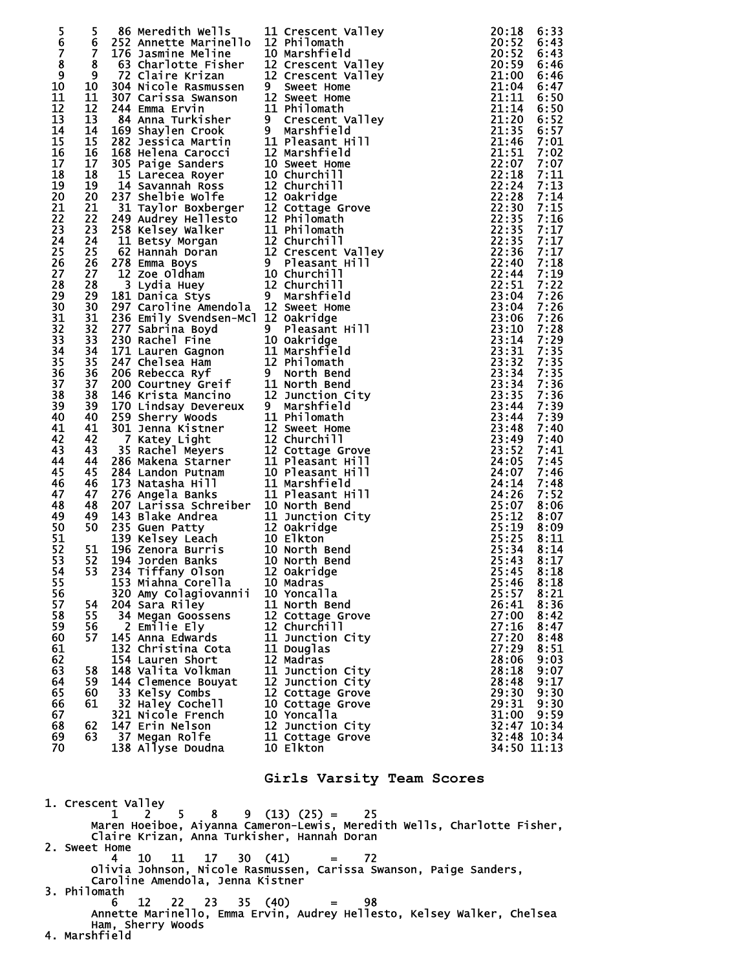|               | 5              | 86 Meredith Wells                                                                                                                                                                                                                                     | 11 Crescent Valley              |                                                                                                                                                                                                                                                    | 20:18          | 6:33         |
|---------------|----------------|-------------------------------------------------------------------------------------------------------------------------------------------------------------------------------------------------------------------------------------------------------|---------------------------------|----------------------------------------------------------------------------------------------------------------------------------------------------------------------------------------------------------------------------------------------------|----------------|--------------|
| $\frac{5}{6}$ | 6              |                                                                                                                                                                                                                                                       |                                 |                                                                                                                                                                                                                                                    | 20:52          | 6:43         |
| Ž             | $\overline{7}$ | 176 Jasmine Meline                                                                                                                                                                                                                                    | 10 Marshfield                   |                                                                                                                                                                                                                                                    |                | 6:43         |
| 8             | 8              | er<br>S<br>63 Charlotte Fisher                                                                                                                                                                                                                        | 12 Crescent Valley              |                                                                                                                                                                                                                                                    |                | 6:46         |
| 9             | 9              | 72 Claire Krizan                                                                                                                                                                                                                                      | 12 Crescent Valley              |                                                                                                                                                                                                                                                    |                | 6:46         |
| 10            | 10             | 304 Nicole Rasmussen                                                                                                                                                                                                                                  | 9 Sweet Home                    |                                                                                                                                                                                                                                                    |                | 6:47         |
| 11            | 11             | 2011 The Krizzan<br>204 Nicole Rasmussen<br>207 Carrissa Swanson<br>21 Sweet Home<br>244 Emma Ervin<br>21 Divisoms 112 Sweet Home<br>246 Amna Turkisher<br>202 Jessica Martin<br>202 Jessica Martin<br>202 Jessica Martin<br>202 Jessica Martin<br>2  |                                 |                                                                                                                                                                                                                                                    |                | 6:50         |
| 12            | 12             |                                                                                                                                                                                                                                                       |                                 |                                                                                                                                                                                                                                                    |                | 6:50         |
| 13            | 13             |                                                                                                                                                                                                                                                       |                                 |                                                                                                                                                                                                                                                    |                | 6:52         |
| 14            | 14             |                                                                                                                                                                                                                                                       |                                 |                                                                                                                                                                                                                                                    |                | 6:57         |
| 15            | 15             |                                                                                                                                                                                                                                                       |                                 |                                                                                                                                                                                                                                                    |                | 7:01         |
| 16            | 16             |                                                                                                                                                                                                                                                       |                                 |                                                                                                                                                                                                                                                    |                | 7:02         |
| 17            | 17             |                                                                                                                                                                                                                                                       |                                 |                                                                                                                                                                                                                                                    |                | 7:07         |
| 18            | 18             |                                                                                                                                                                                                                                                       |                                 |                                                                                                                                                                                                                                                    |                | 7:11         |
| 19<br>20      | 19<br>20       |                                                                                                                                                                                                                                                       |                                 |                                                                                                                                                                                                                                                    |                | 7:13<br>7:14 |
| 21            | 21             |                                                                                                                                                                                                                                                       |                                 |                                                                                                                                                                                                                                                    |                | 7:15         |
| 22            | 22             |                                                                                                                                                                                                                                                       |                                 |                                                                                                                                                                                                                                                    |                | 7:16         |
| 23            | 23             |                                                                                                                                                                                                                                                       |                                 |                                                                                                                                                                                                                                                    |                | 7:17         |
| 24            | 24             |                                                                                                                                                                                                                                                       |                                 |                                                                                                                                                                                                                                                    |                | 7:17         |
| 25            | 25             |                                                                                                                                                                                                                                                       |                                 |                                                                                                                                                                                                                                                    |                | 7:17         |
| 26            | 26             |                                                                                                                                                                                                                                                       |                                 |                                                                                                                                                                                                                                                    |                | 7:18         |
| 27            | 27             |                                                                                                                                                                                                                                                       |                                 |                                                                                                                                                                                                                                                    |                | 7:19         |
| 28            | 28             |                                                                                                                                                                                                                                                       |                                 |                                                                                                                                                                                                                                                    |                | 7:22         |
| 29            | 29             |                                                                                                                                                                                                                                                       |                                 |                                                                                                                                                                                                                                                    |                | 7:26         |
| 30            | 30             |                                                                                                                                                                                                                                                       |                                 |                                                                                                                                                                                                                                                    |                | 7:26         |
| 31            | 31             |                                                                                                                                                                                                                                                       |                                 |                                                                                                                                                                                                                                                    |                | 7:26         |
| 32            | 32             |                                                                                                                                                                                                                                                       |                                 |                                                                                                                                                                                                                                                    |                | 7:28         |
| 33            | 33             |                                                                                                                                                                                                                                                       |                                 |                                                                                                                                                                                                                                                    |                | 7:29         |
| 34            | 34             |                                                                                                                                                                                                                                                       |                                 |                                                                                                                                                                                                                                                    |                | 7:35         |
| 35            | 35             |                                                                                                                                                                                                                                                       |                                 |                                                                                                                                                                                                                                                    |                | 7:35         |
| 36            | 36             |                                                                                                                                                                                                                                                       |                                 |                                                                                                                                                                                                                                                    |                | 7:35         |
| 37<br>38      | 37<br>38       | 236 Emily Svendsen-Mcl 12 oakridge<br>277 Sabrina Boyd<br>277 Sabrina Boyd<br>277 Sabrina Boyd<br>277 Sabrina Boyd<br>277 Sabrina Boyd<br>277 Sabrina Boyd<br>277 Sabrina Boyd<br>29 Pleasant 11 Marshfield<br>247 chelsea Ham<br>206 Rebecca Ryf<br> |                                 | 20:52<br>20:52<br>21:00 21:00 21:00 21:00 21:00 21:00 21:00 21:00 21:00 21:00 21:14<br>21:14 21:14 46 21:51<br>21:57 22:18 22:18 22:18 22:18 22:18 22:18 22:28 35<br>22:28 22:28 22:28 35<br>22:33 52 22:33 52 22:33 52 22:54 44 22:51 44<br>23:06 |                | 7:36<br>7:36 |
| 39            | 39             |                                                                                                                                                                                                                                                       |                                 |                                                                                                                                                                                                                                                    |                | 7:39         |
| 40            | 40             |                                                                                                                                                                                                                                                       |                                 |                                                                                                                                                                                                                                                    |                | 7:39         |
| 41            | 41             |                                                                                                                                                                                                                                                       |                                 |                                                                                                                                                                                                                                                    |                | 7:40         |
| 42            | 42             |                                                                                                                                                                                                                                                       |                                 |                                                                                                                                                                                                                                                    |                | 7:40         |
| 43            | 43             |                                                                                                                                                                                                                                                       |                                 |                                                                                                                                                                                                                                                    |                | 7:41         |
| 44            | 44             |                                                                                                                                                                                                                                                       |                                 |                                                                                                                                                                                                                                                    |                | 7:45         |
| 45            | 45             |                                                                                                                                                                                                                                                       |                                 |                                                                                                                                                                                                                                                    |                | 7:46         |
| 46            | 46             |                                                                                                                                                                                                                                                       |                                 |                                                                                                                                                                                                                                                    |                | 7:48         |
| 47            | 47             |                                                                                                                                                                                                                                                       |                                 |                                                                                                                                                                                                                                                    |                | 7:52         |
| 48            | 48             |                                                                                                                                                                                                                                                       |                                 |                                                                                                                                                                                                                                                    |                | 8:06         |
| 49            | 49             |                                                                                                                                                                                                                                                       |                                 |                                                                                                                                                                                                                                                    |                | 8:07         |
| 50            | 50             |                                                                                                                                                                                                                                                       |                                 |                                                                                                                                                                                                                                                    |                | 8:09         |
| 51<br>52      | 51             |                                                                                                                                                                                                                                                       |                                 |                                                                                                                                                                                                                                                    |                | 8:11<br>8:14 |
| 53            | 52             |                                                                                                                                                                                                                                                       |                                 |                                                                                                                                                                                                                                                    | 25:43          | 8:17         |
| 54            | 53             | 234 Tiffany Olson 12 Oakridge                                                                                                                                                                                                                         |                                 |                                                                                                                                                                                                                                                    |                | 25:45 8:18   |
| 55            |                | 153 Miahna Corella                                                                                                                                                                                                                                    | 10 Madras                       |                                                                                                                                                                                                                                                    | 25:46          | 8:18         |
| 56            |                | 320 Amy Colagiovannii                                                                                                                                                                                                                                 | 10 Yoncalla                     |                                                                                                                                                                                                                                                    | 25:57          | 8:21         |
| 57            | 54             | 204 Sara Riley                                                                                                                                                                                                                                        | 11 North Bend                   |                                                                                                                                                                                                                                                    | 26:41          | 8:36         |
| 58            | 55             | 34 Megan Goossens                                                                                                                                                                                                                                     | 12 Cottage Grove                |                                                                                                                                                                                                                                                    | 27:00          | 8:42         |
| 59            | 56             | 2 Emilie Ely                                                                                                                                                                                                                                          | 12 Churchill                    |                                                                                                                                                                                                                                                    | 27:16          | 8:47         |
| 60            | 57             | 145 Anna Edwards                                                                                                                                                                                                                                      | 11 Junction City                |                                                                                                                                                                                                                                                    | 27:20          | 8:48         |
| 61            |                | 132 Christina Cota                                                                                                                                                                                                                                    | 11 Douglas                      |                                                                                                                                                                                                                                                    | 27:29          | 8:51         |
| 62            |                | 154 Lauren Short                                                                                                                                                                                                                                      | 12 Madras                       |                                                                                                                                                                                                                                                    | 28:06          | 9:03         |
| 63            | 58             | 148 Valita Volkman                                                                                                                                                                                                                                    | 11 Junction City                |                                                                                                                                                                                                                                                    | 28:18          | 9:07         |
| 64            | 59             | 144 Clemence Bouyat                                                                                                                                                                                                                                   | 12 Junction City                |                                                                                                                                                                                                                                                    | 28:48          | 9:17         |
| 65            | 60             | 33 Kelsy Combs                                                                                                                                                                                                                                        | 12 Cottage Grove                |                                                                                                                                                                                                                                                    | 29:30          | 9:30         |
| 66<br>67      | 61             | 32 Haley Cochell<br>321 Nicole French                                                                                                                                                                                                                 | 10 Cottage Grove<br>10 Yoncalla |                                                                                                                                                                                                                                                    | 29:31<br>31:00 | 9:30<br>9:59 |
| 68            | 62             | 147 Erin Nelson                                                                                                                                                                                                                                       | 12 Junction City                |                                                                                                                                                                                                                                                    |                | 32:47 10:34  |
| 69            | 63             | 37 Megan Rolfe                                                                                                                                                                                                                                        | 11 Cottage Grove                |                                                                                                                                                                                                                                                    |                | 32:48 10:34  |
| 70            |                | 138 Allyse Doudna                                                                                                                                                                                                                                     | 10 Elkton                       |                                                                                                                                                                                                                                                    |                | 34:50 11:13  |
|               |                |                                                                                                                                                                                                                                                       |                                 |                                                                                                                                                                                                                                                    |                |              |
|               |                |                                                                                                                                                                                                                                                       |                                 |                                                                                                                                                                                                                                                    |                |              |
|               |                |                                                                                                                                                                                                                                                       | Girls Varsity Team Scores       |                                                                                                                                                                                                                                                    |                |              |
|               |                |                                                                                                                                                                                                                                                       |                                 |                                                                                                                                                                                                                                                    |                |              |

 1. Crescent Valley  $1 \quad 2 \quad 5 \quad 8 \quad 9 \quad (13) \quad (25) = \quad 25$  Maren Hoeiboe, Aiyanna Cameron-Lewis, Meredith Wells, Charlotte Fisher, Claire Krizan, Anna Turkisher, Hannah Doran 2. Sweet Home 4 10 11 17 30 (41) = 72 Olivia Johnson, Nicole Rasmussen, Carissa Swanson, Paige Sanders, Caroline Amendola, Jenna Kistner 3. Philomath 6 12 22 23 35 (40) = 98 Annette America, John Krysher<br>
6 12 22 23 35 (40) = 98<br>
Annette Marinello, Emma Ervin, Audrey Hellesto, Kelsey Walker, Chelsea Ham, Sherry Woods 4. Marshfield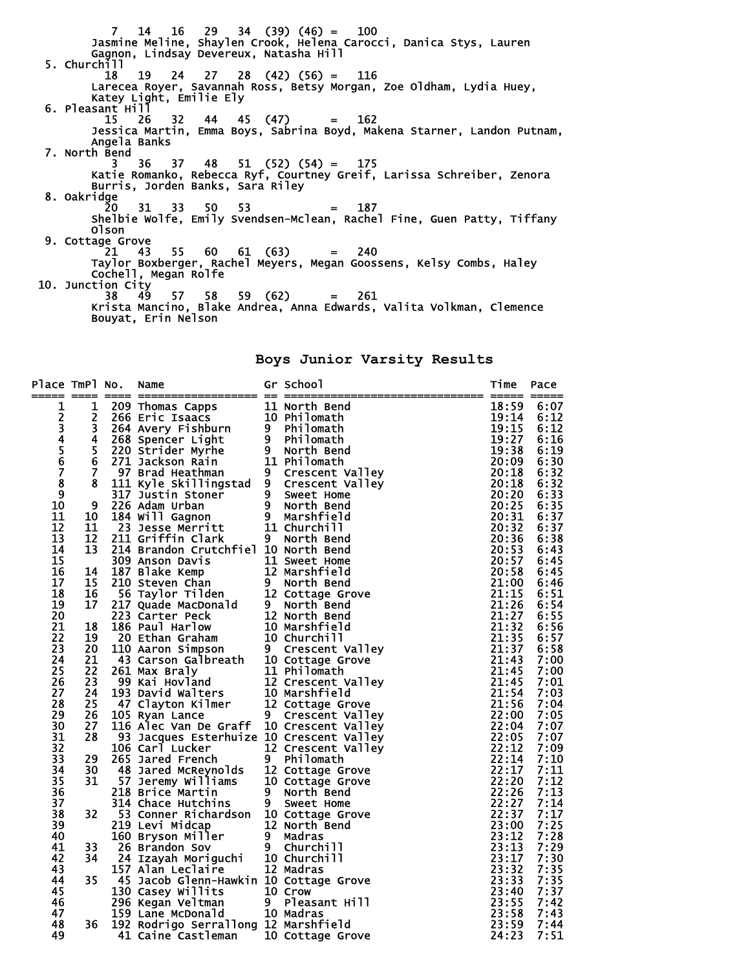7 14 16 29 34 (39) (46) = 100 Jasmine Meline, Shaylen Crook, Helena Carocci, Danica Stys, Lauren Gagnon, Lindsay Devereux, Natasha Hill 5. Churchill 18 19 24 27 28 (42) (56) = 116 Larecea Royer, Savannah Ross, Betsy Morgan, Zoe Oldham, Lydia Huey, Katey Light, Emilie Ely 6. Pleasant Hill 15 26 32 44 45 (47) = 162 15 26 32 44 45 (47) = 162<br>Jessica Martin, Emma Boys, Sabrina Boyd, Makena Starner, Landon Putnam,<br>Angela Banks Angela Banks 7. North Bend 3 36 37 48 51 (52) (54) = 175 Katie Romanko, Rebecca Ryf, Courtney Greif, Larissa Schreiber, Zenora Burris, Jorden Banks, Sara Riley 8. Oakridge 20 31 33 50 53 = 187 Shelbie Wolfe, Emily Svendsen-Mclean, Rachel Fine, Guen Patty, Tiffany Olson 9. Cottage Grove<br>21 43  $21$  43 55 60 61 (63) = 240 Taylor Boxberger, Rachel Meyers, Megan Goossens, Kelsy Combs, Haley Cochell, Megan Rolfe 10. Junction City 38 49 57 58 59 (62) = 261 Krista Mancino, Blake Andrea, Anna Edwards, Valita Volkman, Clemence Bouyat, Erin Nelson

**Boys Junior Varsity Results** 

| Place TmPl No. |                         | Name                                                                                                                                                                                                                                                   |                | Gr School          | Time           | Pace         |
|----------------|-------------------------|--------------------------------------------------------------------------------------------------------------------------------------------------------------------------------------------------------------------------------------------------------|----------------|--------------------|----------------|--------------|
| 1              | 1                       |                                                                                                                                                                                                                                                        |                |                    | 18:59          | 6:07         |
| 2345678        | $\overline{2}$          |                                                                                                                                                                                                                                                        |                |                    | 19:14          | 6:12         |
|                | $\overline{\mathbf{3}}$ |                                                                                                                                                                                                                                                        |                |                    | 19:15          | 6:12         |
|                | 4                       |                                                                                                                                                                                                                                                        |                |                    | 19:27          | 6:16         |
|                | 5                       |                                                                                                                                                                                                                                                        |                |                    | 19:38          | 6:19         |
|                | 6                       |                                                                                                                                                                                                                                                        |                |                    | 20:09          | 6:30         |
|                | $\overline{7}$          |                                                                                                                                                                                                                                                        |                |                    | 20:18          | 6:32         |
|                | 8                       |                                                                                                                                                                                                                                                        |                |                    | 20:18          | 6:32         |
| $\overline{9}$ |                         |                                                                                                                                                                                                                                                        |                |                    | 20:20          | 6:33         |
| 10             | 9                       |                                                                                                                                                                                                                                                        |                |                    | 20:25          | 6:35         |
| 11             | 10                      |                                                                                                                                                                                                                                                        |                |                    | 20:31          | 6:37         |
| 12             | 11                      |                                                                                                                                                                                                                                                        |                |                    | 20:32          | 6:37         |
| 13             | 12                      |                                                                                                                                                                                                                                                        |                |                    | 20:36          | 6:38         |
| 14<br>15       | 13                      | 214 Brandon Crutchfiel 10 North Bend                                                                                                                                                                                                                   |                |                    | 20:53          | 6:43         |
|                |                         |                                                                                                                                                                                                                                                        |                |                    | 20:57          | 6:45         |
| 16<br>17       | 14                      |                                                                                                                                                                                                                                                        |                |                    | 20:58          | 6:45         |
| 18             | 15<br>16                |                                                                                                                                                                                                                                                        |                |                    | 21:00<br>21:15 | 6:46<br>6:51 |
| 19             | 17                      |                                                                                                                                                                                                                                                        |                |                    | 21:26          | 6:54         |
| 20             |                         |                                                                                                                                                                                                                                                        |                |                    | 21:27          | 6:55         |
| 21             | 18                      |                                                                                                                                                                                                                                                        |                |                    | 21:32          | 6:56         |
| 22             | 19                      |                                                                                                                                                                                                                                                        |                |                    | 21:35          | 6:57         |
| 23             | 20                      |                                                                                                                                                                                                                                                        |                |                    | 21:37          | 6:58         |
| 24             | 21                      |                                                                                                                                                                                                                                                        |                |                    | 21:43          | 7:00         |
| 25             | 22                      | 214 Brandon Crutchfiel 10 North Bend<br>309 Anson Davis<br>11 Sweet Home<br>12 Marshfield<br>210 Steven Chan<br>56 Taylor Tilden<br>56 Taylor Tilden<br>56 Taylor Tilden<br>21 2 North Bend<br>223 Carter Peck<br>223 Carter Peck<br>12 North Bend<br> |                |                    | 21:45          | 7:00         |
| 26             | 23                      |                                                                                                                                                                                                                                                        |                |                    | 21:45          | 7:01         |
| 27             | 24                      |                                                                                                                                                                                                                                                        |                |                    | 21:54          | 7:03         |
| 28             | 25                      |                                                                                                                                                                                                                                                        |                |                    | 21:56          | 7:04         |
| 29             | 26                      |                                                                                                                                                                                                                                                        |                |                    | 22:00          | 7:05         |
| 30             | 27                      | 116 Alec Van De Graff 10 Crescent Valley                                                                                                                                                                                                               |                |                    | 22:04          | 7:07         |
| 31             | 28                      | 93 Jacques Esterhuize 10 Crescent Valley                                                                                                                                                                                                               |                |                    | 22:05          | 7:07         |
| 32             |                         | 106 Carl Lucker                                                                                                                                                                                                                                        |                | 12 Crescent Valley | 22:12          | 7:09         |
| 33             | 29                      | 265 Jared French                                                                                                                                                                                                                                       |                |                    | 22:14          | 7:10         |
| 34             | 30                      |                                                                                                                                                                                                                                                        |                |                    | 22:17          | 7:11         |
| 35             | 31                      | 93 Jacques Louis 12 Cresient villet 06 Carl Lucker<br>12 Cresient villet 06 Philomath<br>18 Jared McReynolds 12 Cottage Grove<br>57 Jeremy Williams 10 Cottage Grove<br>10 North Bend<br>10 North Bend<br>10 North Bend<br>10 North Bend               |                |                    | 22:20          | 7:12         |
| 36             |                         | 218 Brice Martin                                                                                                                                                                                                                                       |                |                    | 22:26          | 7:13         |
| 37             |                         | 314 Chace Hutchins                                                                                                                                                                                                                                     | 9 <sub>o</sub> | Sweet Home         | 22:27          | 7:14         |
| 38             | 32                      | 53 Conner Richardson 10 Cottage Grove                                                                                                                                                                                                                  |                |                    | 22:37          | 7:17         |
| 39             |                         | 219 Levi Midcap                                                                                                                                                                                                                                        |                | 12 North Bend      | 23:00          | 7:25         |
| 40             |                         | 219 Levi Midcap 12 North Ben<br>160 Bryson Miller 9 Madras<br>26 Brandon Sov 9 Churchill<br>24 Izayah Moriguchi 10 Churchill<br>157 Alan Leclaire 12 Madras                                                                                            |                |                    | 23:12          | 7:28         |
| 41             | 33                      |                                                                                                                                                                                                                                                        |                |                    | 23:13          | 7:29         |
| 42             | 34                      |                                                                                                                                                                                                                                                        |                |                    | 23:17          | 7:30         |
| 43             |                         | 157 Alan Leclaire                                                                                                                                                                                                                                      |                | 12 Madras          | 23:32          | 7:35         |
| 44             | 35                      | 45 Jacob Glenn-Hawkin 10 Cottage Grove                                                                                                                                                                                                                 |                |                    | 23:33          | 7:35         |
| 45             |                         | 130 Casey Willits                                                                                                                                                                                                                                      |                | 10 Crow            | 23:40          | 7:37         |
| 46             |                         | 296 Kegan Veltman                                                                                                                                                                                                                                      |                | 9 Pleasant Hill    | 23:55          | 7:42         |
| 47             |                         | 159 Lane McDonald                                                                                                                                                                                                                                      |                | 10 Madras          | 23:58          | 7:43         |
| 48             | 36                      | 192 Rodrigo Serrallong 12 Marshfield                                                                                                                                                                                                                   |                |                    | 23:59          | 7:44         |
| 49             |                         | 41 Caine Castleman                                                                                                                                                                                                                                     |                | 10 Cottage Grove   | 24:23          | 7:51         |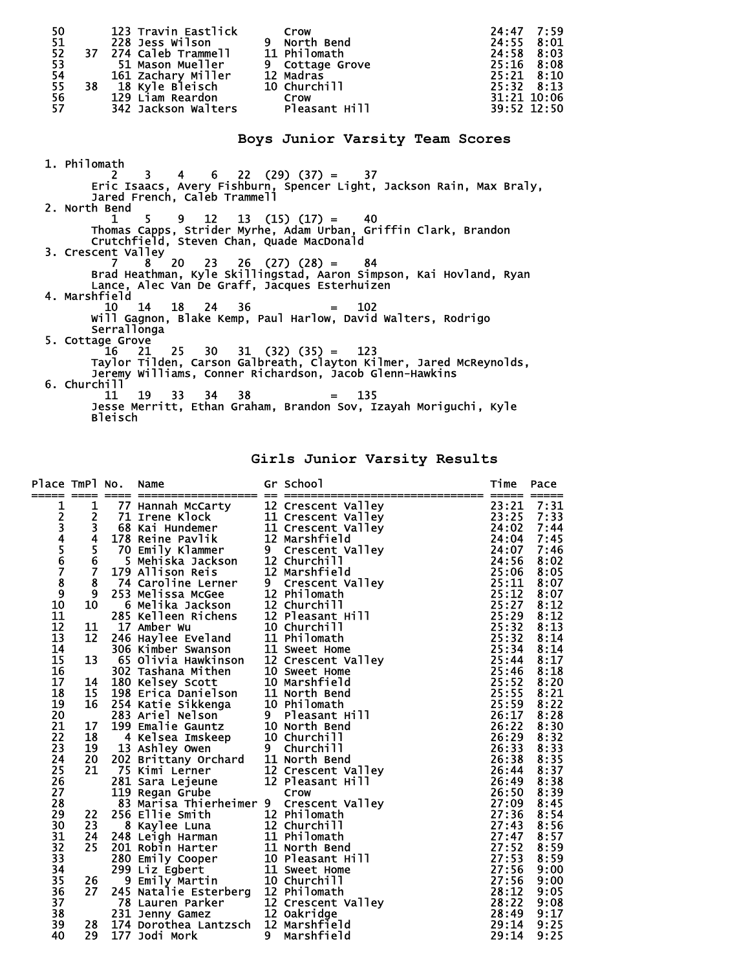| 50<br>51      | 123 Travin Eastlick<br>228 Jess Wilson        | Crow<br>9 North Bend                                                                            | 7:59<br>24:47<br>8:01<br>24:55 |
|---------------|-----------------------------------------------|-------------------------------------------------------------------------------------------------|--------------------------------|
| 52            | 37 274 Caleb Trammell 11 Philomath            |                                                                                                 | 24:58<br>8:03                  |
| 53            | 51 Mason Mueller                              | 9 Cottage Grove                                                                                 | 25:16<br>8:08                  |
| 54            | 161 Zachary Miller                            | 12 Madras                                                                                       | $25:21$ $8:10$                 |
| 55            | 38 18 Kyle Bleisch                            | 10 Churchill                                                                                    | 25:32 8:13                     |
| 56            | 129 Liam Reardon                              | <b>Crow</b>                                                                                     | 31:21 10:06                    |
| 57            | 342 Jackson Walters Pleasant Hill             |                                                                                                 | 39:52 12:50                    |
|               |                                               | Boys Junior Varsity Team Scores                                                                 |                                |
| 1. Philomath  |                                               |                                                                                                 |                                |
|               | 3                                             | $4 \t 6 \t 22 \t (29) \t (37) = 37$                                                             |                                |
|               |                                               | Eric Isaacs, Avery Fishburn, Spencer Light, Jackson Rain, Max Braly,                            |                                |
|               | Jared French. Caleb Trammell                  |                                                                                                 |                                |
| 2. North Bend |                                               |                                                                                                 |                                |
|               | $5^{\circ}$<br>$\mathbf{1}$                   | $9$ 12 13 (15) (17) =<br>- 40                                                                   |                                |
|               |                                               | Thomas Capps, Strider Myrhe, Adam Urban, Griffin Clark, Brandon                                 |                                |
|               | Crutchfield, Steven Chan, Quade MacDonald     |                                                                                                 |                                |
|               | 3. Crescent Valley                            |                                                                                                 |                                |
|               | 7<br>8.                                       | $20$ 23 26 (27) (28) = 84<br>Brad Heathman, Kyle Skillingstad, Aaron Simpson, Kai Hovland, Ryan |                                |
|               | Lance, Alec Van De Graff, Jacques Esterhuizen |                                                                                                 |                                |
| 4. Marshfield |                                               |                                                                                                 |                                |
|               | 10 I<br>14 18 24 36                           | 102<br>$=$ $-$                                                                                  |                                |
|               |                                               | Will Gagnon, Blake Kemp, Paul Harlow, David Walters, Rodrigo                                    |                                |
|               | Serrallonga                                   |                                                                                                 |                                |
|               | 5. Cottage Grove                              |                                                                                                 |                                |
|               | 25<br>30<br>21<br>16.                         | $31$ $(32)$ $(35) = 123$                                                                        |                                |
|               |                                               | Taylor Tilden, Carson Galbreath, Clayton Kilmer, Jared McReynolds,                              |                                |
|               |                                               | Jeremy Williams, Conner Richardson, Jacob Glenn-Hawkins                                         |                                |
| 6. Churchill  |                                               |                                                                                                 |                                |
|               | 38<br>11<br>19<br>33<br>34                    | 135                                                                                             |                                |
|               |                                               | Jesse Merritt, Ethan Graham, Brandon Sov, Izayah Moriguchi, Kyle                                |                                |
|               | Bleisch                                       |                                                                                                 |                                |

**Girls Junior Varsity Results** 

| Place TmPl No.                                                                                      |                         | Name                                                                                                                                                                                                                                                    |                | Gr School<br>No. Name of School<br>T7 Hannah McCarty 12 Crescent valley<br>17 Henne Klock 112 Crescent valley<br>17 Irene Klock 11 Crescent valley<br>17 Of Reine Pavlilik 12 Marshfield<br>20 Emily Klammer 9 Crescent valley<br>179 Allison Reis<br>12 | Time           | Pace |
|-----------------------------------------------------------------------------------------------------|-------------------------|---------------------------------------------------------------------------------------------------------------------------------------------------------------------------------------------------------------------------------------------------------|----------------|----------------------------------------------------------------------------------------------------------------------------------------------------------------------------------------------------------------------------------------------------------|----------------|------|
|                                                                                                     | 1                       |                                                                                                                                                                                                                                                         |                |                                                                                                                                                                                                                                                          | 23:21          | 7:31 |
| $\frac{1}{2}$<br>$\frac{2}{3}$<br>$\frac{4}{5}$<br>$\frac{6}{7}$<br>$\frac{8}{9}$<br>$\frac{9}{10}$ | 2                       |                                                                                                                                                                                                                                                         |                |                                                                                                                                                                                                                                                          | 23:25          | 7:33 |
|                                                                                                     | 3                       |                                                                                                                                                                                                                                                         |                |                                                                                                                                                                                                                                                          | 24:02          | 7:44 |
|                                                                                                     | $\overline{\mathbf{4}}$ |                                                                                                                                                                                                                                                         |                |                                                                                                                                                                                                                                                          | 24:04          | 7:45 |
|                                                                                                     | $\overline{\mathbf{5}}$ |                                                                                                                                                                                                                                                         |                |                                                                                                                                                                                                                                                          | 24:07          | 7:46 |
|                                                                                                     | $\overline{6}$          |                                                                                                                                                                                                                                                         |                |                                                                                                                                                                                                                                                          | 24:56          | 8:02 |
|                                                                                                     | $\overline{7}$          |                                                                                                                                                                                                                                                         |                |                                                                                                                                                                                                                                                          | 25:06          | 8:05 |
|                                                                                                     | 8                       |                                                                                                                                                                                                                                                         |                |                                                                                                                                                                                                                                                          | 25:11          | 8:07 |
|                                                                                                     | $\overline{9}$          |                                                                                                                                                                                                                                                         |                |                                                                                                                                                                                                                                                          | 25:12          | 8:07 |
|                                                                                                     | 10                      |                                                                                                                                                                                                                                                         |                |                                                                                                                                                                                                                                                          | 25:27          | 8:12 |
| 11                                                                                                  |                         |                                                                                                                                                                                                                                                         |                |                                                                                                                                                                                                                                                          | 25:29          | 8:12 |
| 12                                                                                                  | 11                      |                                                                                                                                                                                                                                                         |                |                                                                                                                                                                                                                                                          | 25:32          | 8:13 |
| 13                                                                                                  | 12                      |                                                                                                                                                                                                                                                         |                |                                                                                                                                                                                                                                                          | 25:32          | 8:14 |
| 14                                                                                                  |                         |                                                                                                                                                                                                                                                         |                |                                                                                                                                                                                                                                                          | 25:34          | 8:14 |
| 15                                                                                                  | 13                      |                                                                                                                                                                                                                                                         |                |                                                                                                                                                                                                                                                          | 25:44          | 8:17 |
| 16                                                                                                  |                         |                                                                                                                                                                                                                                                         |                |                                                                                                                                                                                                                                                          | 25:46          | 8:18 |
| 17                                                                                                  | 14                      |                                                                                                                                                                                                                                                         |                |                                                                                                                                                                                                                                                          | 25:52          | 8:20 |
| 18                                                                                                  | 15                      |                                                                                                                                                                                                                                                         |                |                                                                                                                                                                                                                                                          | 25:55          | 8:21 |
| 19                                                                                                  | 16                      |                                                                                                                                                                                                                                                         |                |                                                                                                                                                                                                                                                          | 25:59          | 8:22 |
| 20                                                                                                  |                         |                                                                                                                                                                                                                                                         |                |                                                                                                                                                                                                                                                          | 26:17          | 8:28 |
| 21                                                                                                  | 17                      |                                                                                                                                                                                                                                                         |                |                                                                                                                                                                                                                                                          | 26:22          | 8:30 |
| 22                                                                                                  | 18                      |                                                                                                                                                                                                                                                         |                |                                                                                                                                                                                                                                                          | 26:29          | 8:32 |
| 23                                                                                                  | 19                      |                                                                                                                                                                                                                                                         |                |                                                                                                                                                                                                                                                          | 26:33          | 8:33 |
| 24                                                                                                  | 20                      |                                                                                                                                                                                                                                                         |                |                                                                                                                                                                                                                                                          | 26:38          | 8:35 |
| 25                                                                                                  | 21                      |                                                                                                                                                                                                                                                         |                |                                                                                                                                                                                                                                                          | 26:44          | 8:37 |
| $\overline{26}$                                                                                     |                         |                                                                                                                                                                                                                                                         |                |                                                                                                                                                                                                                                                          | 26:49          | 8:38 |
| 27                                                                                                  |                         |                                                                                                                                                                                                                                                         |                |                                                                                                                                                                                                                                                          | 26:50          | 8:39 |
| 28                                                                                                  |                         | 83 Marisa Thierheimer 9 Crescent Valley                                                                                                                                                                                                                 |                |                                                                                                                                                                                                                                                          | 27:09          | 8:45 |
| 29                                                                                                  | 22                      | 256 Ellie Smith<br>8 Kaylee Luna<br>8 Kaylee Luna<br>248 Leigh Harman<br>201 Robin Harter<br>280 Emily Cooper<br>280 Emily Cooper<br>280 Emily Cooper<br>29 Liz Egbert<br>29 Liz Egbert<br>29 Liz Egbert<br>29 Liz Egbert<br>29 Liz Marter<br>201 Robin |                |                                                                                                                                                                                                                                                          | 27:36          | 8:54 |
| 30                                                                                                  | 23                      |                                                                                                                                                                                                                                                         |                |                                                                                                                                                                                                                                                          | 27:43          | 8:56 |
| 31                                                                                                  | 24                      |                                                                                                                                                                                                                                                         |                |                                                                                                                                                                                                                                                          | 27:47          | 8:57 |
| 32                                                                                                  | 25                      |                                                                                                                                                                                                                                                         |                |                                                                                                                                                                                                                                                          | 27:52          | 8:59 |
| 33                                                                                                  |                         |                                                                                                                                                                                                                                                         |                |                                                                                                                                                                                                                                                          | 27:53          | 8:59 |
| 34                                                                                                  |                         |                                                                                                                                                                                                                                                         |                |                                                                                                                                                                                                                                                          | 27:56          | 9:00 |
| 35                                                                                                  | 26                      | 9 Emily Martin<br>245 Natalie Esterberg 12 Philomath<br>78 Lauren Parker 12 Crescent Valley<br>231 Jenny Gamez 12 Oakridge<br>174 Dorothea Lantzsch 12 Marshfield                                                                                       |                |                                                                                                                                                                                                                                                          | 27:56          | 9:00 |
| 36                                                                                                  | 27                      |                                                                                                                                                                                                                                                         |                |                                                                                                                                                                                                                                                          | 28:12<br>28:22 | 9:05 |
| 37                                                                                                  |                         |                                                                                                                                                                                                                                                         |                |                                                                                                                                                                                                                                                          |                | 9:08 |
| 38                                                                                                  |                         |                                                                                                                                                                                                                                                         |                |                                                                                                                                                                                                                                                          | 28:49          | 9:17 |
| 39                                                                                                  | 28                      |                                                                                                                                                                                                                                                         |                |                                                                                                                                                                                                                                                          | 29:14          | 9:25 |
| 40                                                                                                  | 29                      | 177 Jodi Mork                                                                                                                                                                                                                                           | 9 <sup>1</sup> | Marshfield                                                                                                                                                                                                                                               | 29:14          | 9:25 |